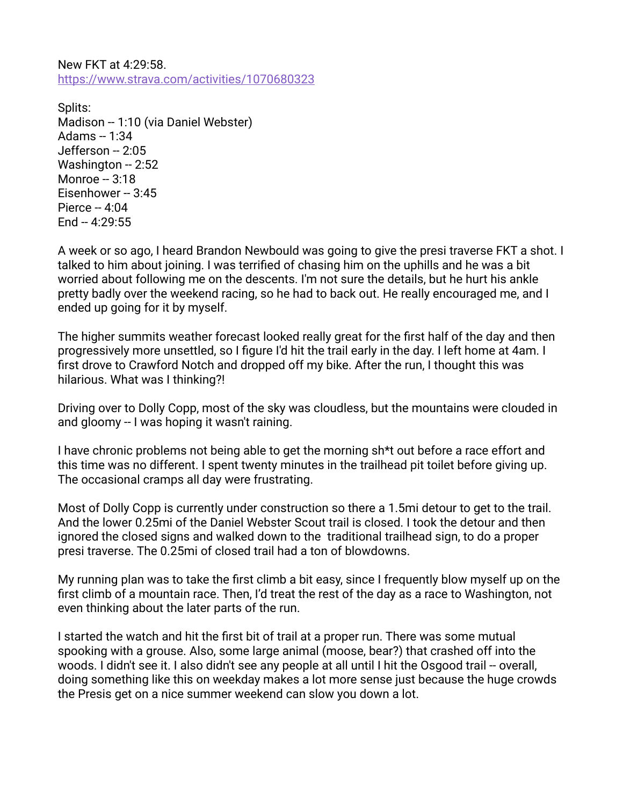New FKT at 4:29:58. <https://www.strava.com/activities/1070680323>

Splits: Madison -- 1:10 (via Daniel Webster) Adams  $- 1:34$ Jefferson -- 2:05 Washington -- 2:52 Monroe -- 3:18 Eisenhower -- 3:45 Pierce  $-4:04$  $End - 4:29:55$ 

A week or so ago, I heard Brandon Newbould was going to give the presi traverse FKT a shot. I talked to him about joining. I was terrified of chasing him on the uphills and he was a bit worried about following me on the descents. I'm not sure the details, but he hurt his ankle pretty badly over the weekend racing, so he had to back out. He really encouraged me, and I ended up going for it by myself.

The higher summits weather forecast looked really great for the first half of the day and then progressively more unsettled, so I figure I'd hit the trail early in the day. I left home at 4am. I first drove to Crawford Notch and dropped off my bike. After the run, I thought this was hilarious. What was I thinking?!

Driving over to Dolly Copp, most of the sky was cloudless, but the mountains were clouded in and gloomy -- I was hoping it wasn't raining.

I have chronic problems not being able to get the morning sh\*t out before a race effort and this time was no different. I spent twenty minutes in the trailhead pit toilet before giving up. The occasional cramps all day were frustrating.

Most of Dolly Copp is currently under construction so there a 1.5mi detour to get to the trail. And the lower 0.25mi of the Daniel Webster Scout trail is closed. I took the detour and then ignored the closed signs and walked down to the traditional trailhead sign, to do a proper presi traverse. The 0.25mi of closed trail had a ton of blowdowns.

My running plan was to take the first climb a bit easy, since I frequently blow myself up on the first climb of a mountain race. Then, I'd treat the rest of the day as a race to Washington, not even thinking about the later parts of the run.

I started the watch and hit the first bit of trail at a proper run. There was some mutual spooking with a grouse. Also, some large animal (moose, bear?) that crashed off into the woods. I didn't see it. I also didn't see any people at all until I hit the Osgood trail -- overall, doing something like this on weekday makes a lot more sense just because the huge crowds the Presis get on a nice summer weekend can slow you down a lot.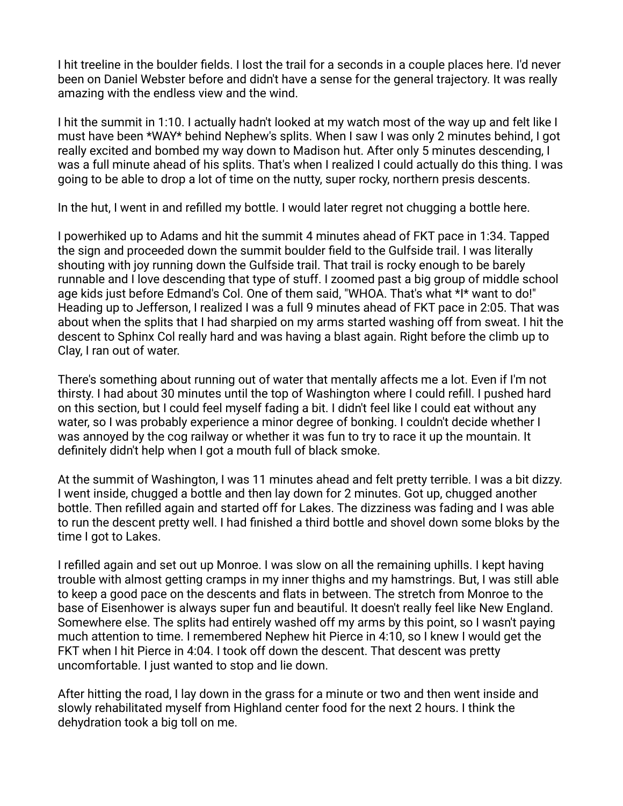I hit treeline in the boulder fields. I lost the trail for a seconds in a couple places here. I'd never been on Daniel Webster before and didn't have a sense for the general trajectory. It was really amazing with the endless view and the wind.

I hit the summit in 1:10. I actually hadn't looked at my watch most of the way up and felt like I must have been \*WAY\* behind Nephew's splits. When I saw I was only 2 minutes behind, I got really excited and bombed my way down to Madison hut. After only 5 minutes descending, I was a full minute ahead of his splits. That's when I realized I could actually do this thing. I was going to be able to drop a lot of time on the nutty, super rocky, northern presis descents.

In the hut, I went in and refilled my bottle. I would later regret not chugging a bottle here.

I powerhiked up to Adams and hit the summit 4 minutes ahead of FKT pace in 1:34. Tapped the sign and proceeded down the summit boulder field to the Gulfside trail. I was literally shouting with joy running down the Gulfside trail. That trail is rocky enough to be barely runnable and I love descending that type of stuff. I zoomed past a big group of middle school age kids just before Edmand's Col. One of them said, "WHOA. That's what \*I\* want to do!" Heading up to Jefferson, I realized I was a full 9 minutes ahead of FKT pace in 2:05. That was about when the splits that I had sharpied on my arms started washing off from sweat. I hit the descent to Sphinx Col really hard and was having a blast again. Right before the climb up to Clay, I ran out of water.

There's something about running out of water that mentally affects me a lot. Even if I'm not thirsty. I had about 30 minutes until the top of Washington where I could refill. I pushed hard on this section, but I could feel myself fading a bit. I didn't feel like I could eat without any water, so I was probably experience a minor degree of bonking. I couldn't decide whether I was annoyed by the cog railway or whether it was fun to try to race it up the mountain. It definitely didn't help when I got a mouth full of black smoke.

At the summit of Washington, I was 11 minutes ahead and felt pretty terrible. I was a bit dizzy. I went inside, chugged a bottle and then lay down for 2 minutes. Got up, chugged another bottle. Then refilled again and started off for Lakes. The dizziness was fading and I was able to run the descent pretty well. I had finished a third bottle and shovel down some bloks by the time I got to Lakes.

I refilled again and set out up Monroe. I was slow on all the remaining uphills. I kept having trouble with almost getting cramps in my inner thighs and my hamstrings. But, I was still able to keep a good pace on the descents and flats in between. The stretch from Monroe to the base of Eisenhower is always super fun and beautiful. It doesn't really feel like New England. Somewhere else. The splits had entirely washed off my arms by this point, so I wasn't paying much attention to time. I remembered Nephew hit Pierce in 4:10, so I knew I would get the FKT when I hit Pierce in 4:04. I took off down the descent. That descent was pretty uncomfortable. I just wanted to stop and lie down.

After hitting the road, I lay down in the grass for a minute or two and then went inside and slowly rehabilitated myself from Highland center food for the next 2 hours. I think the dehydration took a big toll on me.